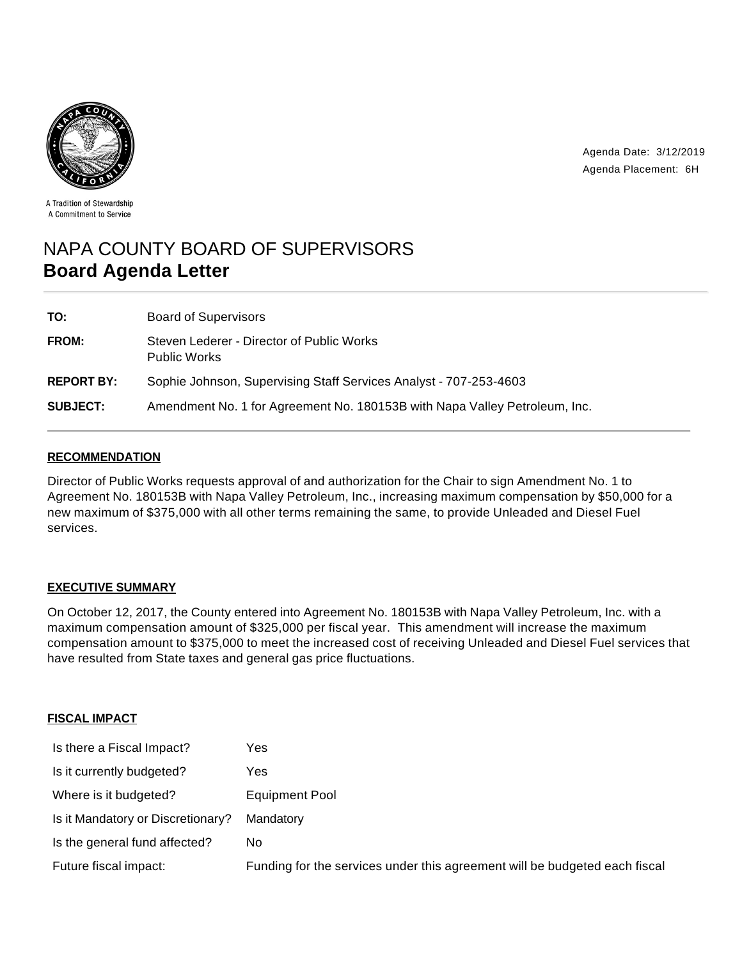

Agenda Date: 3/12/2019 Agenda Placement: 6H

A Tradition of Stewardship A Commitment to Service

# NAPA COUNTY BOARD OF SUPERVISORS **Board Agenda Letter**

| TO:               | Board of Supervisors                                                       |
|-------------------|----------------------------------------------------------------------------|
| <b>FROM:</b>      | Steven Lederer - Director of Public Works<br><b>Public Works</b>           |
| <b>REPORT BY:</b> | Sophie Johnson, Supervising Staff Services Analyst - 707-253-4603          |
| <b>SUBJECT:</b>   | Amendment No. 1 for Agreement No. 180153B with Napa Valley Petroleum, Inc. |

## **RECOMMENDATION**

Director of Public Works requests approval of and authorization for the Chair to sign Amendment No. 1 to Agreement No. 180153B with Napa Valley Petroleum, Inc., increasing maximum compensation by \$50,000 for a new maximum of \$375,000 with all other terms remaining the same, to provide Unleaded and Diesel Fuel services.

## **EXECUTIVE SUMMARY**

On October 12, 2017, the County entered into Agreement No. 180153B with Napa Valley Petroleum, Inc. with a maximum compensation amount of \$325,000 per fiscal year. This amendment will increase the maximum compensation amount to \$375,000 to meet the increased cost of receiving Unleaded and Diesel Fuel services that have resulted from State taxes and general gas price fluctuations.

## **FISCAL IMPACT**

| Is there a Fiscal Impact?         | Yes                                                                        |
|-----------------------------------|----------------------------------------------------------------------------|
| Is it currently budgeted?         | Yes                                                                        |
| Where is it budgeted?             | <b>Equipment Pool</b>                                                      |
| Is it Mandatory or Discretionary? | Mandatory                                                                  |
| Is the general fund affected?     | No.                                                                        |
| Future fiscal impact:             | Funding for the services under this agreement will be budgeted each fiscal |